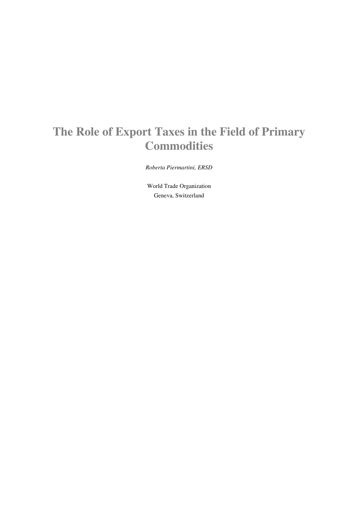# **The Role of Export Taxes in the Field of Primary Commodities**

*Roberta Piermartini, ERSD* 

World Trade Organization Geneva, Switzerland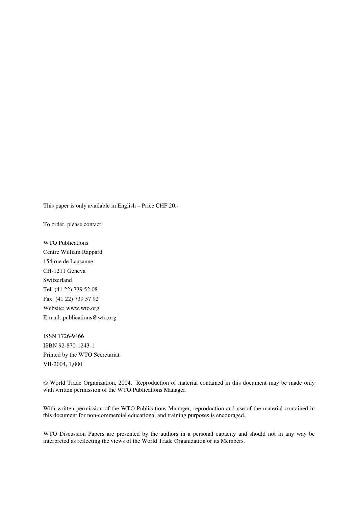This paper is only available in English – Price CHF 20.-

To order, please contact:

WTO Publications Centre William Rappard 154 rue de Lausanne CH-1211 Geneva Switzerland Tel: (41 22) 739 52 08 Fax: (41 22) 739 57 92 Website: www.wto.org E-mail: publications@wto.org

ISSN 1726-9466 ISBN 92-870-1243-1 Printed by the WTO Secretariat VII-2004, 1,000

© World Trade Organization, 2004. Reproduction of material contained in this document may be made only with written permission of the WTO Publications Manager.

With written permission of the WTO Publications Manager, reproduction and use of the material contained in this document for non-commercial educational and training purposes is encouraged.

WTO Discussion Papers are presented by the authors in a personal capacity and should not in any way be interpreted as reflecting the views of the World Trade Organization or its Members.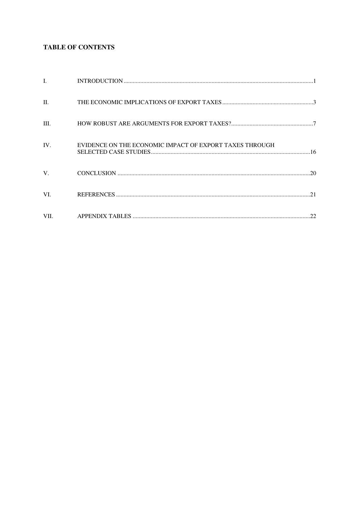# **TABLE OF CONTENTS**

| L.      |                                                         |  |
|---------|---------------------------------------------------------|--|
| $\Pi$ . |                                                         |  |
| III.    |                                                         |  |
| IV.     | EVIDENCE ON THE ECONOMIC IMPACT OF EXPORT TAXES THROUGH |  |
| V.      |                                                         |  |
| VI.     |                                                         |  |
| VII.    |                                                         |  |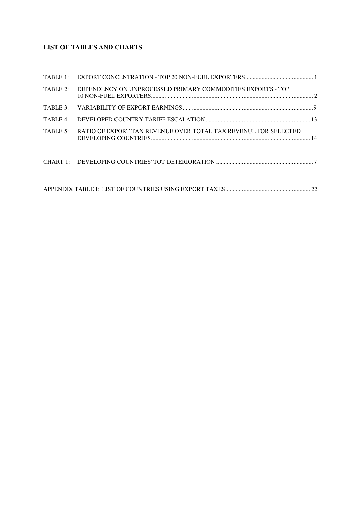# **LIST OF TABLES AND CHARTS**

| TABLE 2: | DEPENDENCY ON UNPROCESSED PRIMARY COMMODITIES EXPORTS - TOP     |  |
|----------|-----------------------------------------------------------------|--|
|          |                                                                 |  |
| TABLE 4: |                                                                 |  |
| TABLE 5: | RATIO OF EXPORT TAX REVENUE OVER TOTAL TAX REVENUE FOR SELECTED |  |
|          |                                                                 |  |
|          |                                                                 |  |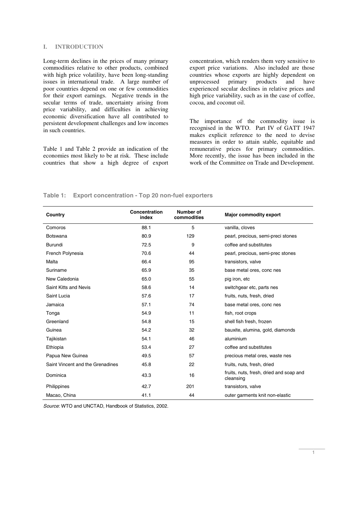## **I. INTRODUCTION**

Long-term declines in the prices of many primary commodities relative to other products, combined with high price volatility, have been long-standing issues in international trade. A large number of poor countries depend on one or few commodities for their export earnings. Negative trends in the secular terms of trade, uncertainty arising from price variability, and difficulties in achieving economic diversification have all contributed to persistent development challenges and low incomes in such countries.

Table 1 and Table 2 provide an indication of the economies most likely to be at risk. These include countries that show a high degree of export

concentration, which renders them very sensitive to export price variations. Also included are those countries whose exports are highly dependent on<br>unprocessed primary products and have unprocessed primary products and have experienced secular declines in relative prices and high price variability, such as in the case of coffee, cocoa, and coconut oil.

The importance of the commodity issue is recognised in the WTO. Part IV of GATT 1947 makes explicit reference to the need to devise measures in order to attain stable, equitable and remunerative prices for primary commodities. More recently, the issue has been included in the work of the Committee on Trade and Development.

## **Table 1: Export concentration - Top 20 non-fuel exporters**

| Country                          | Concentration<br>Number of<br>commodities<br>index |     | <b>Major commodity export</b>                        |
|----------------------------------|----------------------------------------------------|-----|------------------------------------------------------|
| Comoros                          | 88.1                                               | 5   | vanilla, cloves                                      |
| <b>Botswana</b>                  | 80.9                                               | 129 | pearl, precious, semi-preci stones                   |
| <b>Burundi</b>                   | 72.5                                               | 9   | coffee and substitutes                               |
| French Polynesia                 | 70.6                                               | 44  | pearl, precious, semi-prec stones                    |
| Malta                            | 66.4                                               | 95  | transistors, valve                                   |
| Suriname                         | 65.9                                               | 35  | base metal ores, conc nes                            |
| New Caledonia                    | 65.0                                               | 55  | pig iron, etc                                        |
| Saint Kitts and Nevis            | 58.6                                               | 14  | switchgear etc, parts nes                            |
| Saint Lucia                      | 57.6                                               | 17  | fruits, nuts, fresh, dried                           |
| Jamaica                          | 57.1                                               | 74  | base metal ores, conc nes                            |
| Tonga                            | 54.9                                               | 11  | fish, root crops                                     |
| Greenland                        | 54.8                                               | 15  | shell fish fresh, frozen                             |
| Guinea                           | 54.2                                               | 32  | bauxite, alumina, gold, diamonds                     |
| Tajikistan                       | 54.1                                               | 46  | aluminium                                            |
| Ethiopia                         | 53.4                                               | 27  | coffee and substitutes                               |
| Papua New Guinea                 | 49.5                                               | 57  | precious metal ores, waste nes                       |
| Saint Vincent and the Grenadines | 45.8                                               | 22  | fruits, nuts, fresh, dried                           |
| Dominica                         | 43.3                                               | 16  | fruits, nuts, fresh, dried and soap and<br>cleansing |
| Philippines                      | 42.7                                               | 201 | transistors, valve                                   |
| Macao, China                     | 41.1                                               | 44  | outer garments knit non-elastic                      |

Source: WTO and UNCTAD, Handbook of Statistics, 2002.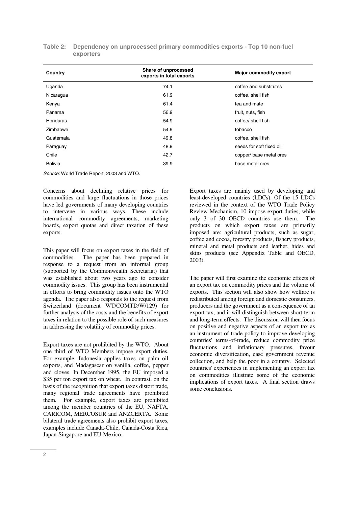| Country        | Share of unprocessed<br>exports in total exports | <b>Major commodity export</b> |
|----------------|--------------------------------------------------|-------------------------------|
| Uganda         | 74.1                                             | coffee and substitutes        |
| Nicaragua      | 61.9                                             | coffee, shell fish            |
| Kenya          | 61.4                                             | tea and mate                  |
| Panama         | 56.9                                             | fruit, nuts, fish             |
| Honduras       | 54.9                                             | coffee/ shell fish            |
| Zimbabwe       | 54.9                                             | tobacco                       |
| Guatemala      | 49.8                                             | coffee, shell fish            |
| Paraguay       | 48.9                                             | seeds for soft fixed oil      |
| Chile          | 42.7                                             | copper/ base metal ores       |
| <b>Bolivia</b> | 39.9                                             | base metal ores               |

| Table 2: Dependency on unprocessed primary commodities exports - Top 10 non-fuel |
|----------------------------------------------------------------------------------|
| exporters                                                                        |

Source: World Trade Report, 2003 and WTO.

Concerns about declining relative prices for commodities and large fluctuations in those prices have led governments of many developing countries to intervene in various ways. These include international commodity agreements, marketing boards, export quotas and direct taxation of these exports.

This paper will focus on export taxes in the field of commodities. The paper has been prepared in response to a request from an informal group (supported by the Commonwealth Secretariat) that was established about two years ago to consider commodity issues. This group has been instrumental in efforts to bring commodity issues onto the WTO agenda. The paper also responds to the request from Switzerland (document WT/COMTD/W/129) for further analysis of the costs and the benefits of export taxes in relation to the possible role of such measures in addressing the volatility of commodity prices.

Export taxes are not prohibited by the WTO. About one third of WTO Members impose export duties. For example, Indonesia applies taxes on palm oil exports, and Madagascar on vanilla, coffee, pepper and cloves. In December 1995, the EU imposed a \$35 per ton export tax on wheat. In contrast, on the basis of the recognition that export taxes distort trade, many regional trade agreements have prohibited them. For example, export taxes are prohibited among the member countries of the EU, NAFTA, CARICOM, MERCOSUR and ANZCERTA. Some bilateral trade agreements also prohibit export taxes, examples include Canada-Chile, Canada-Costa Rica, Japan-Singapore and EU-Mexico.

Export taxes are mainly used by developing and least-developed countries (LDCs). Of the 15 LDCs reviewed in the context of the WTO Trade Policy Review Mechanism, 10 impose export duties, while only 3 of 30 OECD countries use them. The products on which export taxes are primarily imposed are: agricultural products, such as sugar, coffee and cocoa, forestry products, fishery products, mineral and metal products and leather, hides and skins products (see Appendix Table and OECD, 2003).

The paper will first examine the economic effects of an export tax on commodity prices and the volume of exports. This section will also show how welfare is redistributed among foreign and domestic consumers, producers and the government as a consequence of an export tax, and it will distinguish between short-term and long-term effects. The discussion will then focus on positive and negative aspects of an export tax as an instrument of trade policy to improve developing countries' terms-of-trade, reduce commodity price fluctuations and inflationary pressures, favour economic diversification, ease government revenue collection, and help the poor in a country. Selected countries' experiences in implementing an export tax on commodities illustrate some of the economic implications of export taxes. A final section draws some conclusions.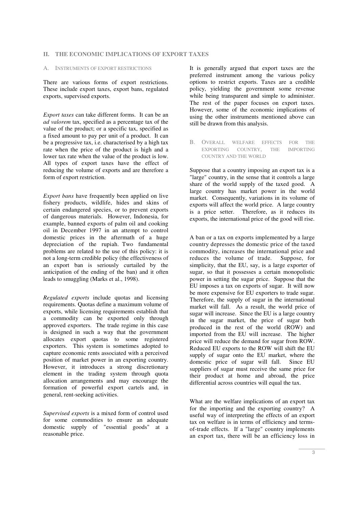#### A. INSTRUMENTS OF EXPORT RESTRICTIONS

There are various forms of export restrictions. These include export taxes, export bans, regulated exports, supervised exports.

*Export taxes* can take different forms. It can be an *ad valorem* tax, specified as a percentage tax of the value of the product; or a specific tax, specified as a fixed amount to pay per unit of a product. It can be a progressive tax, i.e. characterised by a high tax rate when the price of the product is high and a lower tax rate when the value of the product is low. All types of export taxes have the effect of reducing the volume of exports and are therefore a form of export restriction.

*Export bans* have frequently been applied on live fishery products, wildlife, hides and skins of certain endangered species, or to prevent exports of dangerous materials. However, Indonesia, for example, banned exports of palm oil and cooking oil in December 1997 in an attempt to control domestic prices in the aftermath of a huge depreciation of the rupiah. Two fundamental problems are related to the use of this policy: it is not a long-term credible policy (the effectiveness of an export ban is seriously curtailed by the anticipation of the ending of the ban) and it often leads to smuggling (Marks et al., 1998).

*Regulated exports* include quotas and licensing requirements. Quotas define a maximum volume of exports, while licensing requirements establish that a commodity can be exported only through approved exporters. The trade regime in this case is designed in such a way that the government allocates export quotas to some registered exporters. This system is sometimes adopted to capture economic rents associated with a perceived position of market power in an exporting country. However, it introduces a strong discretionary element in the trading system through quota allocation arrangements and may encourage the formation of powerful export cartels and, in general, rent-seeking activities.

*Supervised exports* is a mixed form of control used for some commodities to ensure an adequate domestic supply of "essential goods" at a reasonable price.

It is generally argued that export taxes are the preferred instrument among the various policy options to restrict exports. Taxes are a credible policy, yielding the government some revenue while being transparent and simple to administer. The rest of the paper focuses on export taxes. However, some of the economic implications of using the other instruments mentioned above can still be drawn from this analysis.

B. OVERALL WELFARE EFFECTS FOR THE EXPORTING COUNTRY, THE IMPORTING COUNTRY AND THE WORLD

Suppose that a country imposing an export tax is a "large" country, in the sense that it controls a large share of the world supply of the taxed good. A large country has market power in the world market. Consequently, variations in its volume of exports will affect the world price. A large country is a price setter. Therefore, as it reduces its exports, the international price of the good will rise.

A ban or a tax on exports implemented by a large country depresses the domestic price of the taxed commodity, increases the international price and reduces the volume of trade. Suppose, for simplicity, that the EU, say, is a large exporter of sugar, so that it possesses a certain monopolistic power in setting the sugar price. Suppose that the EU imposes a tax on exports of sugar. It will now be more expensive for EU exporters to trade sugar. Therefore, the supply of sugar in the international market will fall. As a result, the world price of sugar will increase. Since the EU is a large country in the sugar market, the price of sugar both produced in the rest of the world (ROW) and imported from the EU will increase. The higher price will reduce the demand for sugar from ROW. Reduced EU exports to the ROW will shift the EU supply of sugar onto the EU market, where the domestic price of sugar will fall. Since EU suppliers of sugar must receive the same price for their product at home and abroad, the price differential across countries will equal the tax.

What are the welfare implications of an export tax for the importing and the exporting country? A useful way of interpreting the effects of an export tax on welfare is in terms of efficiency and termsof-trade effects. If a "large" country implements an export tax, there will be an efficiency loss in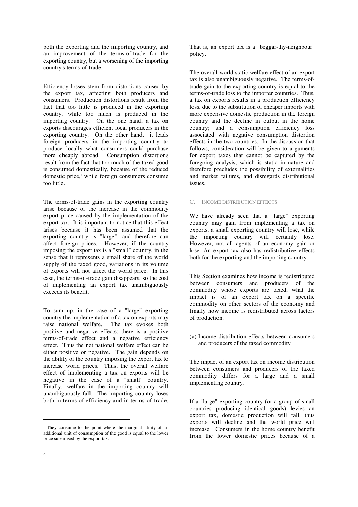both the exporting and the importing country, and an improvement of the terms-of-trade for the exporting country, but a worsening of the importing country's terms-of-trade.

Efficiency losses stem from distortions caused by the export tax, affecting both producers and consumers. Production distortions result from the fact that too little is produced in the exporting country, while too much is produced in the importing country. On the one hand, a tax on exports discourages efficient local producers in the exporting country. On the other hand, it leads  $\frac{1}{2}$  foreign producers in the importing country to produce locally what consumers could purchase more cheaply abroad. Consumption distortions result from the fact that too much of the taxed good is consumed domestically, because of the reduced domestic price,<sup>1</sup> while foreign consumers consume too little.

The terms-of-trade gains in the exporting country arise because of the increase in the commodity export price caused by the implementation of the export tax. It is important to notice that this effect arises because it has been assumed that the exporting country is "large", and therefore can affect foreign prices. However, if the country imposing the export tax is a "small" country, in the sense that it represents a small share of the world supply of the taxed good, variations in its volume of exports will not affect the world price. In this case, the terms-of-trade gain disappears, so the cost of implementing an export tax unambiguously exceeds its benefit.

To sum up, in the case of a "large" exporting country the implementation of a tax on exports may raise national welfare. The tax evokes both positive and negative effects: there is a positive terms-of-trade effect and a negative efficiency effect. Thus the net national welfare effect can be either positive or negative. The gain depends on the ability of the country imposing the export tax to increase world prices. Thus, the overall welfare effect of implementing a tax on exports will be negative in the case of a "small" country. Finally, welfare in the importing country will unambiguously fall. The importing country loses both in terms of efficiency and in terms-of-trade.

That is, an export tax is a "beggar-thy-neighbour" policy.

The overall world static welfare effect of an export tax is also unambiguously negative. The terms-oftrade gain to the exporting country is equal to the terms-of-trade loss to the importer countries. Thus, a tax on exports results in a production efficiency loss, due to the substitution of cheaper imports with more expensive domestic production in the foreign country and the decline in output in the home country; and a consumption efficiency loss associated with negative consumption distortion effects in the two countries. In the discussion that follows, consideration will be given to arguments for export taxes that cannot be captured by the foregoing analysis, which is static in nature and therefore precludes the possibility of externalities and market failures, and disregards distributional issues.

# C. INCOME DISTRIBUTION EFFECTS

We have already seen that a "large" exporting country may gain from implementing a tax on exports, a small exporting country will lose, while the importing country will certainly lose. However, not all agents of an economy gain or lose. An export tax also has redistributive effects both for the exporting and the importing country.

This Section examines how income is redistributed between consumers and producers of the commodity whose exports are taxed, what the impact is of an export tax on a specific commodity on other sectors of the economy and finally how income is redistributed across factors of production.

(a) Income distribution effects between consumers and producers of the taxed commodity

The impact of an export tax on income distribution between consumers and producers of the taxed commodity differs for a large and a small implementing country.

If a "large" exporting country (or a group of small countries producing identical goods) levies an export tax, domestic production will fall, thus exports will decline and the world price will increase. Consumers in the home country benefit from the lower domestic prices because of a

j

<sup>&</sup>lt;sup>1</sup> They consume to the point where the marginal utility of an additional unit of consumption of the good is equal to the lower price subsidised by the export tax.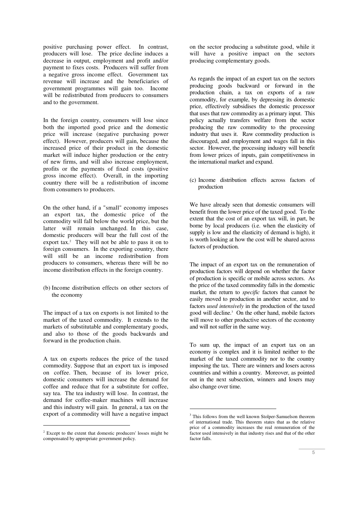positive purchasing power effect. In contrast, producers will lose. The price decline induces a decrease in output, employment and profit and/or payment to fixes costs. Producers will suffer from a negative gross income effect. Government tax revenue will increase and the beneficiaries of government programmes will gain too. Income will be redistributed from producers to consumers and to the government.

In the foreign country, consumers will lose since both the imported good price and the domestic price will increase (negative purchasing power effect). However, producers will gain, because the increased price of their product in the domestic market will induce higher production or the entry of new firms, and will also increase employment, profits or the payments of fixed costs (positive gross income effect). Overall, in the importing country there will be a redistribution of income from consumers to producers.

On the other hand, if a "small" economy imposes an export tax, the domestic price of the commodity will fall below the world price, but the latter will remain unchanged. In this case, domestic producers will bear the full cost of the export tax. $2$  They will not be able to pass it on to foreign consumers. In the exporting country, there will still be an income redistribution from producers to consumers, whereas there will be no income distribution effects in the foreign country.

(b) Income distribution effects on other sectors of the economy

The impact of a tax on exports is not limited to the market of the taxed commodity. It extends to the markets of substitutable and complementary goods, and also to those of the goods backwards and forward in the production chain.

A tax on exports reduces the price of the taxed commodity. Suppose that an export tax is imposed on coffee. Then, because of its lower price, domestic consumers will increase the demand for coffee and reduce that for a substitute for coffee, say tea. The tea industry will lose. In contrast, the demand for coffee-maker machines will increase and this industry will gain. In general, a tax on the export of a commodity will have a negative impact

-

on the sector producing a substitute good, while it will have a positive impact on the sectors producing complementary goods.

As regards the impact of an export tax on the sectors producing goods backward or forward in the production chain, a tax on exports of a raw commodity, for example, by depressing its domestic price, effectively subsidises the domestic processor that uses that raw commodity as a primary input. This policy actually transfers welfare from the sector producing the raw commodity to the processing industry that uses it. Raw commodity production is discouraged, and employment and wages fall in this sector. However, the processing industry will benefit from lower prices of inputs, gain competitiveness in the international market and expand.

(c) Income distribution effects across factors of production

We have already seen that domestic consumers will benefit from the lower price of the taxed good. To the extent that the cost of an export tax will, in part, be borne by local producers (i.e. when the elasticity of supply is low and the elasticity of demand is high), it is worth looking at how the cost will be shared across factors of production.

The impact of an export tax on the remuneration of production factors will depend on whether the factor of production is specific or mobile across sectors. As the price of the taxed commodity falls in the domestic market, the return to *specific* factors that cannot be easily moved to production in another sector, and to factors *used intensively* in the production of the taxed good will decline.3 On the other hand, mobile factors will move to other productive sectors of the economy and will not suffer in the same way.

To sum up, the impact of an export tax on an economy is complex and it is limited neither to the market of the taxed commodity nor to the country imposing the tax. There are winners and losers across countries and within a country. Moreover, as pointed out in the next subsection, winners and losers may also change over time.

 $\overline{a}$ 

<sup>&</sup>lt;sup>2</sup> Except to the extent that domestic producers' losses might be compensated by appropriate government policy.

<sup>&</sup>lt;sup>3</sup> This follows from the well known Stolper-Samuelson theorem of international trade. This theorem states that as the relative price of a commodity increases the real remuneration of the factor used intensively in that industry rises and that of the other factor falls.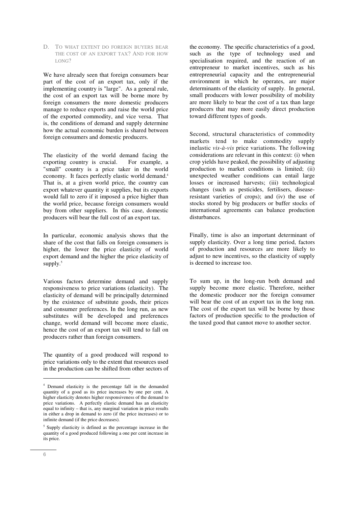D. TO WHAT EXTENT DO FOREIGN BUYERS BEAR THE COST OF AN EXPORT TAX? AND FOR HOW LONG?

We have already seen that foreign consumers bear part of the cost of an export tax, only if the implementing country is "large". As a general rule, the cost of an export tax will be borne more by foreign consumers the more domestic producers manage to reduce exports and raise the world price of the exported commodity, and vice versa. That is, the conditions of demand and supply determine how the actual economic burden is shared between foreign consumers and domestic producers.

The elasticity of the world demand facing the exporting country is crucial. For example, a "small" country is a price taker in the world economy. It faces perfectly elastic world demand.<sup>4</sup> That is, at a given world price, the country can export whatever quantity it supplies, but its exports would fall to zero if it imposed a price higher than the world price, because foreign consumers would buy from other suppliers. In this case, domestic producers will bear the full cost of an export tax.

In particular, economic analysis shows that the share of the cost that falls on foreign consumers is higher, the lower the price elasticity of world export demand and the higher the price elasticity of supply.<sup>5</sup>

Various factors determine demand and supply responsiveness to price variations (elasticity). The elasticity of demand will be principally determined by the existence of substitute goods, their prices and consumer preferences. In the long run, as new substitutes will be developed and preferences change, world demand will become more elastic, hence the cost of an export tax will tend to fall on producers rather than foreign consumers.

The quantity of a good produced will respond to price variations only to the extent that resources used in the production can be shifted from other sectors of the economy. The specific characteristics of a good, such as the type of technology used and specialisation required, and the reaction of an entrepreneur to market incentives, such as his entrepreneurial capacity and the entrepreneurial environment in which he operates, are major determinants of the elasticity of supply. In general, small producers with lower possibility of mobility are more likely to bear the cost of a tax than large producers that may more easily direct production toward different types of goods.

Second, structural characteristics of commodity markets tend to make commodity supply inelastic *vis-à-vis* price variations. The following considerations are relevant in this context: (i) when crop yields have peaked, the possibility of adjusting production to market conditions is limited; (ii) unexpected weather conditions can entail large losses or increased harvests; (iii) technological changes (such as pesticides, fertilisers, diseaseresistant varieties of crops); and (iv) the use of stocks stored by big producers or buffer stocks of international agreements can balance production disturbances.

Finally, time is also an important determinant of supply elasticity. Over a long time period, factors of production and resources are more likely to adjust to new incentives, so the elasticity of supply is deemed to increase too.

To sum up, in the long-run both demand and supply become more elastic. Therefore, neither the domestic producer nor the foreign consumer will bear the cost of an export tax in the long run. The cost of the export tax will be borne by those factors of production specific to the production of the taxed good that cannot move to another sector.

-

<sup>4</sup> Demand elasticity is the percentage fall in the demanded quantity of a good as its price increases by one per cent. A higher elasticity denotes higher responsiveness of the demand to price variations. A perfectly elastic demand has an elasticity equal to infinity – that is, any marginal variation in price results in either a drop in demand to zero (if the price increases) or to infinite demand (if the price decreases).

<sup>5</sup> Supply elasticity is defined as the percentage increase in the quantity of a good produced following a one per cent increase in its price.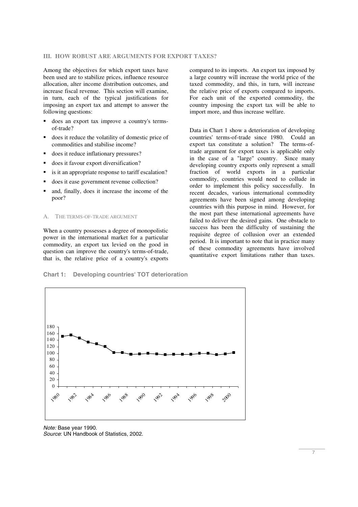#### **III. HOW ROBUST ARE ARGUMENTS FOR EXPORT TAXES?**

Among the objectives for which export taxes have been used are to stabilize prices, influence resource allocation, alter income distribution outcomes, and increase fiscal revenue. This section will examine, in turn, each of the typical justifications for imposing an export tax and attempt to answer the following questions:

- does an export tax improve a country's termsof-trade?
- does it reduce the volatility of domestic price of commodities and stabilise income?
- does it reduce inflationary pressures?
- does it favour export diversification?
- is it an appropriate response to tariff escalation?
- does it ease government revenue collection?
- and, finally, does it increase the income of the poor?

#### A. THE TERMS-OF-TRADE ARGUMENT

When a country possesses a degree of monopolistic power in the international market for a particular commodity, an export tax levied on the good in question can improve the country's terms-of-trade, that is, the relative price of a country's exports compared to its imports. An export tax imposed by a large country will increase the world price of the taxed commodity, and this, in turn, will increase the relative price of exports compared to imports. For each unit of the exported commodity, the country imposing the export tax will be able to import more, and thus increase welfare.

Data in Chart 1 show a deterioration of developing countries' terms-of-trade since 1980. Could an export tax constitute a solution? The terms-oftrade argument for export taxes is applicable only in the case of a "large" country. Since many developing country exports only represent a small fraction of world exports in a particular commodity, countries would need to collude in order to implement this policy successfully. In recent decades, various international commodity agreements have been signed among developing countries with this purpose in mind. However, for the most part these international agreements have failed to deliver the desired gains. One obstacle to success has been the difficulty of sustaining the requisite degree of collusion over an extended period. It is important to note that in practice many of these commodity agreements have involved quantitative export limitations rather than taxes.





Note: Base year 1990. Source: UN Handbook of Statistics, 2002.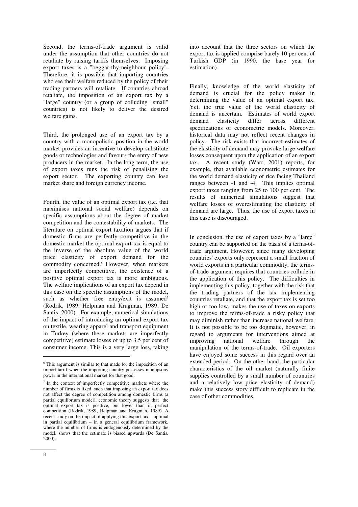Second, the terms-of-trade argument is valid under the assumption that other countries do not retaliate by raising tariffs themselves. Imposing export taxes is a "beggar-thy-neighbour policy". Therefore, it is possible that importing countries who see their welfare reduced by the policy of their trading partners will retaliate. If countries abroad retaliate, the imposition of an export tax by a "large" country (or a group of colluding "small" countries) is not likely to deliver the desired welfare gains.

Third, the prolonged use of an export tax by a country with a monopolistic position in the world market provides an incentive to develop substitute goods or technologies and favours the entry of new producers in the market. In the long term, the use of export taxes runs the risk of penalising the export sector. The exporting country can lose market share and foreign currency income.

Fourth, the value of an optimal export tax (i.e. that maximises national social welfare) depends on specific assumptions about the degree of market competition and the contestability of markets. The literature on optimal export taxation argues that if domestic firms are perfectly competitive in the domestic market the optimal export tax is equal to the inverse of the absolute value of the world price elasticity of export demand for the commodity concerned.<sup>6</sup> However, when markets are imperfectly competitive, the existence of a positive optimal export tax is more ambiguous. The welfare implications of an export tax depend in this case on the specific assumptions of the model, such as whether free entry/exit is assumed<sup>7</sup> (Rodrik, 1989; Helpman and Krugman, 1989; De Santis, 2000). For example, numerical simulations of the impact of introducing an optimal export tax on textile, wearing apparel and transport equipment in Turkey (where these markets are imperfectly competitive) estimate losses of up to 3.5 per cent of consumer income. This is a very large loss, taking

into account that the three sectors on which the export tax is applied comprise barely 10 per cent of Turkish GDP (in 1990, the base year for estimation).

Finally, knowledge of the world elasticity of demand is crucial for the policy maker in determining the value of an optimal export tax. Yet, the true value of the world elasticity of demand is uncertain. Estimates of world export demand elasticity differ across different specifications of econometric models. Moreover, historical data may not reflect recent changes in policy. The risk exists that incorrect estimates of the elasticity of demand may provoke large welfare losses consequent upon the application of an export tax. A recent study (Warr, 2001) reports, for example, that available econometric estimates for the world demand elasticity of rice facing Thailand ranges between -1 and -4. This implies optimal export taxes ranging from 25 to 100 per cent. The results of numerical simulations suggest that welfare losses of overestimating the elasticity of demand are large. Thus, the use of export taxes in this case is discouraged.

In conclusion, the use of export taxes by a "large" country can be supported on the basis of a terms-oftrade argument. However, since many developing countries' exports only represent a small fraction of world exports in a particular commodity, the termsof-trade argument requires that countries collude in the application of this policy. The difficulties in implementing this policy, together with the risk that the trading partners of the tax implementing countries retaliate, and that the export tax is set too high or too low, makes the use of taxes on exports to improve the terms-of-trade a risky policy that may diminish rather than increase national welfare. It is not possible to be too dogmatic, however, in regard to arguments for interventions aimed at improving national welfare through the manipulation of the terms-of-trade. Oil exporters have enjoyed some success in this regard over an extended period. On the other hand, the particular characteristics of the oil market (naturally finite supplies controlled by a small number of countries and a relatively low price elasticity of demand) make this success story difficult to replicate in the case of other commodities.

j

<sup>&</sup>lt;sup>6</sup> This argument is similar to that made for the imposition of an import tariff when the importing country possesses monopsony power in the international market for that good.

<sup>7</sup> In the context of imperfectly competitive markets where the number of firms is fixed, such that imposing an export tax does not affect the degree of competition among domestic firms (a partial equilibrium model), economic theory suggests that the optimal export tax is positive, but lower than in perfect competition (Rodrik, 1989; Helpman and Krugman, 1989). A recent study on the impact of applying this export tax – optimal in partial equilibrium – in a general equilibrium framework, where the number of firms is endogenously determined by the model, shows that the estimate is biased upwards (De Santis, 2000).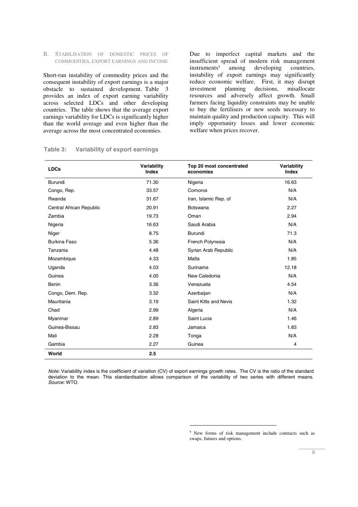B. STABILISATION OF DOMESTIC PRICES OF COMMODITIES, EXPORT EARNINGS AND INCOME

Short-run instability of commodity prices and the consequent instability of export earnings is a major obstacle to sustained development. Table 3 provides an index of export earning variability across selected LDCs and other developing countries. The table shows that the average export earnings variability for LDCs is significantly higher than the world average and even higher than the average across the most concentrated economies.

Due to imperfect capital markets and the insufficient spread of modern risk management  $in$ struments $8$  among developing countries, instability of export earnings may significantly reduce economic welfare. First, it may disrupt<br>investment planning decisions, misallocate investment planning decisions, resources and adversely affect growth. Small farmers facing liquidity constraints may be unable to buy the fertilisers or new seeds necessary to maintain quality and production capacity. This will imply opportunity losses and lower economic welfare when prices recover.

| <b>LDCs</b>              | Variability<br><b>Index</b> | Top 20 most concentrated<br>economies | Variability<br><b>Index</b> |
|--------------------------|-----------------------------|---------------------------------------|-----------------------------|
| Burundi                  | 71.30                       | Nigeria                               | 16.63                       |
| Congo, Rep.              | 33.57                       | Comoros                               | N/A                         |
| Rwanda                   | 31.67                       | Iran, Islamic Rep. of                 | N/A                         |
| Central African Republic | 20.91                       | <b>Botswana</b>                       | 2.27                        |
| Zambia                   | 19.73                       | Oman                                  | 2.94                        |
| Nigeria                  | 16.63                       | Saudi Arabia                          | N/A                         |
| Niger                    | 8.75                        | <b>Burundi</b>                        | 71.3                        |
| Burkina Faso             | 5.36                        | French Polynesia                      | N/A                         |
| Tanzania                 | 4.48                        | Syrian Arab Republic                  | N/A                         |
| Mozambique               | 4.33                        | Malta                                 | 1.85                        |
| Uganda                   | 4.03                        | Suriname                              | 12.18                       |
| Guinea                   | 4.00                        | New Caledonia                         | N/A                         |
| <b>Benin</b>             | 3.36                        | Venezuela                             | 4.54                        |
| Congo, Dem. Rep.         | 3.32                        | Azerbaijan                            | N/A                         |
| Mauritania               | 3.19                        | Saint Kitts and Nevis                 | 1.32                        |
| Chad                     | 2.99                        | Algeria                               | N/A                         |
| Myanmar                  | 2.89                        | Saint Lucia                           | 1.46                        |
| Guinea-Bissau            | 2.83                        | Jamaica                               | 1.83                        |
| Mali                     | 2.28                        | Tonga                                 | N/A                         |
| Gambia                   | 2.27                        | Guinea                                | 4                           |
| World                    | 2.5                         |                                       |                             |

# **Table 3: Variability of export earnings**

Note: Variability index is the coefficient of variation (CV) of export earnings growth rates. The CV is the ratio of the standard deviation to the mean. This standardisation allows comparison of the variability of two series with different means. Source: WTO.

 $\overline{a}$ 

<sup>8</sup> New forms of risk management include contracts such as swaps, futures and options.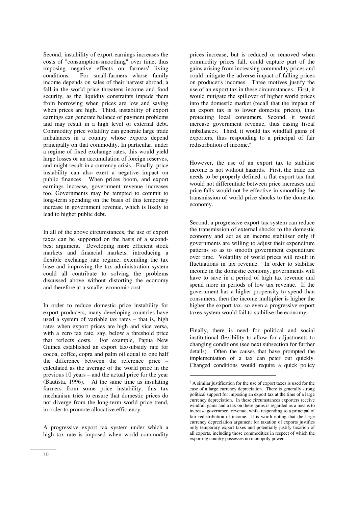Second, instability of export earnings increases the costs of "consumption-smoothing" over time, thus imposing negative effects on farmers' living conditions. For small-farmers whose family income depends on sales of their harvest abroad, a fall in the world price threatens income and food security, as the liquidity constraints impede them from borrowing when prices are low and saving when prices are high. Third, instability of export earnings can generate balance of payment problems and may result in a high level of external debt. Commodity price volatility can generate large trade imbalances in a country whose exports depend principally on that commodity. In particular, under a regime of fixed exchange rates, this would yield large losses or an accumulation of foreign reserves, and might result in a currency crisis. Finally, price instability can also exert a negative impact on public finances. When prices boom, and export earnings increase, government revenue increases too. Governments may be tempted to commit to long-term spending on the basis of this temporary increase in government revenue, which is likely to lead to higher public debt.

In all of the above circumstances, the use of export taxes can be supported on the basis of a secondbest argument. Developing more efficient stock markets and financial markets, introducing a flexible exchange rate regime, extending the tax base and improving the tax administration system could all contribute to solving the problems discussed above without distorting the economy and therefore at a smaller economic cost.

In order to reduce domestic price instability for export producers, many developing countries have used a system of variable tax rates – that is, high rates when export prices are high and vice versa, with a zero tax rate, say, below a threshold price that reflects costs. For example, Papua New Guinea established an export tax/subsidy rate for cocoa, coffee, copra and palm oil equal to one half the difference between the reference price – calculated as the average of the world price in the previous 10 years – and the actual price for the year (Bautista, 1996). At the same time as insulating farmers from some price instability, this tax mechanism tries to ensure that domestic prices do not diverge from the long-term world price trend, in order to promote allocative efficiency.

A progressive export tax system under which a high tax rate is imposed when world commodity

prices increase, but is reduced or removed when commodity prices fall, could capture part of the gains arising from increasing commodity prices and could mitigate the adverse impact of falling prices on producer's incomes. Three motives justify the use of an export tax in these circumstances. First, it would mitigate the spillover of higher world prices into the domestic market (recall that the impact of an export tax is to lower domestic prices), thus protecting local consumers. Second, it would increase government revenue, thus easing fiscal imbalances. Third, it would tax windfall gains of exporters, thus responding to a principal of fair redistribution of income.<sup>9</sup>

However, the use of an export tax to stabilise income is not without hazards. First, the trade tax needs to be properly defined: a flat export tax that would not differentiate between price increases and price falls would not be effective in smoothing the transmission of world price shocks to the domestic economy.

Second, a progressive export tax system can reduce the transmission of external shocks to the domestic economy and act as an income stabiliser only if governments are willing to adjust their expenditure patterns so as to smooth government expenditure over time. Volatility of world prices will result in fluctuations in tax revenue. In order to stabilise income in the domestic economy, governments will have to save in a period of high tax revenue and spend more in periods of low tax revenue. If the government has a higher propensity to spend than consumers, then the income multiplier is higher the higher the export tax, so even a progressive export taxes system would fail to stabilise the economy.

Finally, there is need for political and social institutional flexibility to allow for adjustments to changing conditions (see next subsection for further details). Often the causes that have prompted the implementation of a tax can peter out quickly. Changed conditions would require a quick policy

 $\overline{a}$ 

<sup>&</sup>lt;sup>9</sup> A similar justification for the use of export taxes is used for the case of a large currency depreciation. There is generally strong political support for imposing an export tax at the time of a large currency depreciation. In these circumstances exporters receive windfall gains and a tax on these gains is regarded as a means to increase government revenue, while responding to a principal of fair redistribution of income. It is worth noting that the large currency depreciation argument for taxation of exports justifies only temporary export taxes and potentially justify taxation of all exports, including those commodities in respect of which the exporting country possesses no monopoly power.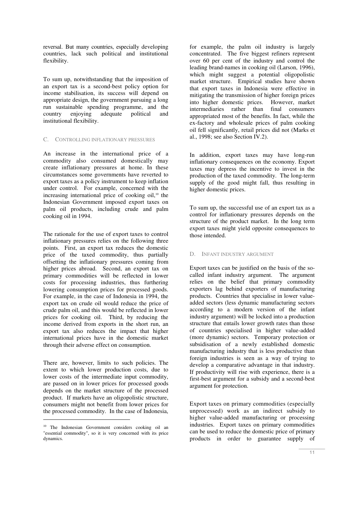reversal. But many countries, especially developing countries, lack such political and institutional flexibility.

To sum up, notwithstanding that the imposition of an export tax is a second-best policy option for income stabilisation, its success will depend on appropriate design, the government pursuing a long run sustainable spending programme, and the country enjoying adequate political and institutional flexibility.

#### C. CONTROLLING INFLATIONARY PRESSURES

An increase in the international price of a commodity also consumed domestically may create inflationary pressures at home. In these circumstances some governments have reverted to export taxes as a policy instrument to keep inflation under control. For example, concerned with the increasing international price of cooking oil, $10$  the Indonesian Government imposed export taxes on palm oil products, including crude and palm cooking oil in 1994.

The rationale for the use of export taxes to control inflationary pressures relies on the following three points. First, an export tax reduces the domestic price of the taxed commodity, thus partially offsetting the inflationary pressures coming from higher prices abroad. Second, an export tax on primary commodities will be reflected in lower costs for processing industries, thus furthering lowering consumption prices for processed goods. For example, in the case of Indonesia in 1994, the export tax on crude oil would reduce the price of crude palm oil, and this would be reflected in lower prices for cooking oil. Third, by reducing the income derived from exports in the short run, an export tax also reduces the impact that higher international prices have in the domestic market through their adverse effect on consumption.

There are, however, limits to such policies. The extent to which lower production costs, due to lower costs of the intermediate input commodity, are passed on in lower prices for processed goods depends on the market structure of the processed product. If markets have an oligopolistic structure, consumers might not benefit from lower prices for the processed commodity. In the case of Indonesia,

j

for example, the palm oil industry is largely concentrated. The five biggest refiners represent over 60 per cent of the industry and control the leading brand-names in cooking oil (Larson, 1996), which might suggest a potential oligopolistic market structure. Empirical studies have shown that export taxes in Indonesia were effective in mitigating the transmission of higher foreign prices into higher domestic prices. However, market intermediaries rather than final consumers appropriated most of the benefits. In fact, while the ex-factory and wholesale prices of palm cooking oil fell significantly, retail prices did not (Marks et al., 1998; see also Section IV.2).

In addition, export taxes may have long-run inflationary consequences on the economy. Export taxes may depress the incentive to invest in the production of the taxed commodity. The long-term supply of the good might fall, thus resulting in higher domestic prices.

To sum up, the successful use of an export tax as a control for inflationary pressures depends on the structure of the product market. In the long term export taxes might yield opposite consequences to those intended.

## D. INFANT INDUSTRY ARGUMENT

Export taxes can be justified on the basis of the socalled infant industry argument. The argument relies on the belief that primary commodity exporters lag behind exporters of manufacturing products. Countries that specialise in lower valueadded sectors (less dynamic manufacturing sectors according to a modern version of the infant industry argument) will be locked into a production structure that entails lower growth rates than those of countries specialised in higher value-added (more dynamic) sectors. Temporary protection or subsidisation of a newly established domestic manufacturing industry that is less productive than foreign industries is seen as a way of trying to develop a comparative advantage in that industry. If productivity will rise with experience, there is a first-best argument for a subsidy and a second-best argument for protection.

Export taxes on primary commodities (especially unprocessed) work as an indirect subsidy to higher value-added manufacturing or processing industries. Export taxes on primary commodities can be used to reduce the domestic price of primary products in order to guarantee supply of

<sup>10</sup> The Indonesian Government considers cooking oil an "essential commodity", so it is very concerned with its price dynamics.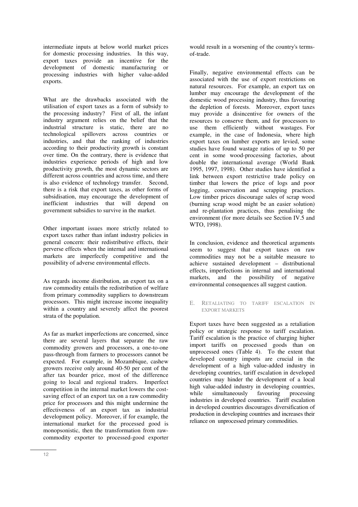intermediate inputs at below world market prices for domestic processing industries. In this way, export taxes provide an incentive for the development of domestic manufacturing or processing industries with higher value-added exports.

What are the drawbacks associated with the utilisation of export taxes as a form of subsidy to the processing industry? First of all, the infant industry argument relies on the belief that the industrial structure is static, there are no technological spillovers across countries or industries, and that the ranking of industries according to their productivity growth is constant over time. On the contrary, there is evidence that industries experience periods of high and low productivity growth, the most dynamic sectors are different across countries and across time, and there is also evidence of technology transfer. Second, there is a risk that export taxes, as other forms of subsidisation, may encourage the development of inefficient industries that will depend on government subsidies to survive in the market.

Other important issues more strictly related to export taxes rather than infant industry policies in general concern: their redistributive effects, their perverse effects when the internal and international markets are imperfectly competitive and the possibility of adverse environmental effects.

As regards income distribution, an export tax on a raw commodity entails the redistribution of welfare from primary commodity suppliers to downstream processors. This might increase income inequality within a country and severely affect the poorest strata of the population.

As far as market imperfections are concerned, since there are several layers that separate the raw commodity growers and processors, a one-to-one pass-through from farmers to processors cannot be expected. For example, in Mozambique, cashew growers receive only around 40-50 per cent of the after tax boarder price, most of the difference going to local and regional traders. Imperfect competition in the internal market lowers the costsaving effect of an export tax on a raw commodity price for processors and this might undermine the effectiveness of an export tax as industrial development policy. Moreover, if for example, the international market for the processed good is monopsonistic, then the transformation from rawcommodity exporter to processed-good exporter

would result in a worsening of the country's termsof-trade.

Finally, negative environmental effects can be associated with the use of export restrictions on natural resources. For example, an export tax on lumber may encourage the development of the domestic wood processing industry, thus favouring the depletion of forests. Moreover, export taxes may provide a disincentive for owners of the resources to conserve them, and for processors to use them efficiently without wastages. For example, in the case of Indonesia, where high export taxes on lumber exports are levied, some studies have found wastage ratios of up to 50 per cent in some wood-processing factories, about double the international average (World Bank 1995, 1997, 1998). Other studies have identified a link between export restrictive trade policy on timber that lowers the price of logs and poor logging, conservation and scrapping practices. Low timber prices discourage sales of scrap wood (burning scrap wood might be an easier solution) and re-plantation practices, thus penalising the environment (for more details see Section IV.5 and WTO, 1998).

In conclusion, evidence and theoretical arguments seem to suggest that export taxes on raw commodities may not be a suitable measure to achieve sustained development – distributional effects, imperfections in internal and international markets, and the possibility of negative environmental consequences all suggest caution.

E. RETALIATING TO TARIFF ESCALATION IN EXPORT MARKETS

Export taxes have been suggested as a retaliation policy or strategic response to tariff escalation. Tariff escalation is the practice of charging higher import tariffs on processed goods than on unprocessed ones (Table 4). To the extent that developed country imports are crucial in the development of a high value-added industry in developing countries, tariff escalation in developed countries may hinder the development of a local high value-added industry in developing countries,<br>while simultaneously favouring processing while simultaneously favouring industries in developed countries. Tariff escalation in developed countries discourages diversification of production in developing countries and increases their reliance on unprocessed primary commodities.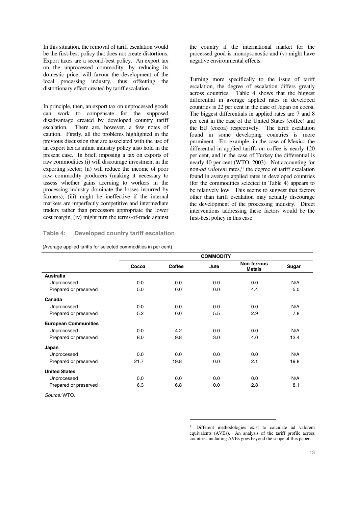In this situation, the removal of tariff escalation would be the first-best policy that does not create distortions. Export taxes are a second-best policy. An export tax on the unprocessed commodity, by reducing its domestic price, will favour the development of the local processing industry, thus offsetting the distortionary effect created by tariff escalation.

In principle, then, an export tax on unprocessed goods can work to compensate for the supposed disadvantage created by developed country tariff escalation. There are, however, a few notes of caution. Firstly, all the problems highlighted in the previous discussion that are associated with the use of an export tax as infant industry policy also hold in the present case. In brief, imposing a tax on exports of raw commodities (i) will discourage investment in the exporting sector; (ii) will reduce the income of poor raw commodity producers (making it necessary to assess whether gains accruing to workers in the processing industry dominate the losses incurred by farmers); (iii) might be ineffective if the internal markets are imperfectly competitive and intermediate traders rather than processors appropriate the lower cost margin, (iv) might turn the terms-of-trade against

# **Table 4: Developed country tariff escalation**

| (Average applied tariffs for selected commodities in per cent) |  |
|----------------------------------------------------------------|--|
|----------------------------------------------------------------|--|

the country if the international market for the processed good is monopsonostic and (v) might have negative environmental effects.

Turning more specifically to the issue of tariff escalation, the degree of escalation differs greatly across countries. Table 4 shows that the biggest differential in average applied rates in developed countries is 22 per cent in the case of Japan on cocoa. The biggest differentials in applied rates are 7 and 8 per cent in the case of the United States (coffee) and the EU (cocoa) respectively. The tariff escalation found in some developing countries is more prominent. For example, in the case of Mexico the differential in applied tariffs on coffee is nearly 120 per cent, and in the case of Turkey the differential is nearly 40 per cent (WTO, 2003). Not accounting for non-*ad valorem* rates,<sup>11</sup> the degree of tariff escalation found in average applied rates in developed countries (for the commodities selected in Table 4) appears to be relatively low. This seems to suggest that factors other than tariff escalation may actually discourage the development of the processing industry. Direct interventions addressing these factors would be the first-best policy in this case.

|                             |       |        | <b>COMMODITY</b> |                              |       |
|-----------------------------|-------|--------|------------------|------------------------------|-------|
|                             | Cocoa | Coffee | Jute             | Non-ferrous<br><b>Metals</b> | Sugar |
| <b>Australia</b>            |       |        |                  |                              |       |
| Unprocessed                 | 0.0   | 0.0    | 0.0              | 0.0                          | N/A   |
| Prepared or preserved       | 5.0   | 0.0    | 0.0              | 4.4                          | 5.0   |
| Canada                      |       |        |                  |                              |       |
| Unprocessed                 | 0.0   | 0.0    | 0.0              | 0.0                          | N/A   |
| Prepared or preserved       | 5.2   | 0.0    | 5.5              | 2.9                          | 7.8   |
| <b>European Communities</b> |       |        |                  |                              |       |
| Unprocessed                 | 0.0   | 4.2    | 0.0              | 0.0                          | N/A   |
| Prepared or preserved       | 8.0   | 9.8    | 3.0              | 4.0                          | 13.4  |
| Japan                       |       |        |                  |                              |       |
| Unprocessed                 | 0.0   | 0.0    | 0.0              | 0.0                          | N/A   |
| Prepared or preserved       | 21.7  | 19.8   | 0.0              | 2.1                          | 19.8  |
| <b>United States</b>        |       |        |                  |                              |       |
| Unprocessed                 | 0.0   | 0.0    | 0.0              | 0.0                          | N/A   |
| Prepared or preserved       | 6.3   | 6.8    | 0.0              | 2.8                          | 8.1   |

 $\overline{a}$ 

Source: WTO.

<sup>11</sup> Different methodologies exist to calculate ad valorem equivalents (AVEs). An analysis of the tariff profile across countries including AVEs goes beyond the scope of this paper.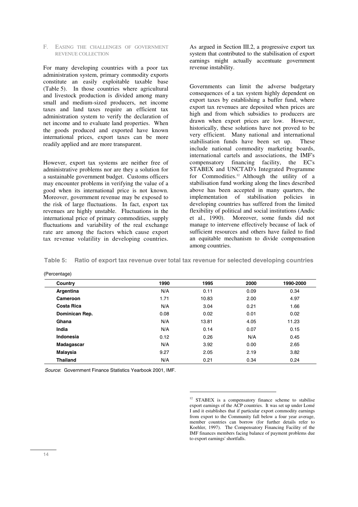#### F. EASING THE CHALLENGES OF GOVERNMENT REVENUE COLLECTION

For many developing countries with a poor tax administration system, primary commodity exports constitute an easily exploitable taxable base (Table 5). In those countries where agricultural and livestock production is divided among many small and medium-sized producers, net income taxes and land taxes require an efficient tax administration system to verify the declaration of net income and to evaluate land properties. When the goods produced and exported have known international prices, export taxes can be more readily applied and are more transparent.

However, export tax systems are neither free of administrative problems nor are they a solution for a sustainable government budget. Customs officers may encounter problems in verifying the value of a good when its international price is not known. Moreover, government revenue may be exposed to the risk of large fluctuations. In fact, export tax revenues are highly unstable. Fluctuations in the international price of primary commodities, supply fluctuations and variability of the real exchange rate are among the factors which cause export tax revenue volatility in developing countries.

As argued in Section III.2, a progressive export tax system that contributed to the stabilisation of export earnings might actually accentuate government revenue instability.

Governments can limit the adverse budgetary consequences of a tax system highly dependent on export taxes by establishing a buffer fund, where export tax revenues are deposited when prices are high and from which subsidies to producers are drawn when export prices are low. However, historically, these solutions have not proved to be very efficient. Many national and international stabilisation funds have been set up. These include national commodity marketing boards, international cartels and associations, the IMF's compensatory financing facility, the EC's STABEX and UNCTAD's Integrated Programme for Commodities.<sup>12</sup> Although the utility of a stabilisation fund working along the lines described above has been accepted in many quarters, the implementation of stabilisation policies in developing countries has suffered from the limited flexibility of political and social institutions (Andic et al., 1990). Moreover, some funds did not manage to intervene effectively because of lack of sufficient resources and others have failed to find an equitable mechanism to divide compensation among countries.

**Table 5: Ratio of export tax revenue over total tax revenue for selected developing countries**

| Country         | 1990 | 1995  | 2000 | 1990-2000 |
|-----------------|------|-------|------|-----------|
| Argentina       | N/A  | 0.11  | 0.09 | 0.34      |
| Cameroon        | 1.71 | 10.83 | 2.00 | 4.97      |
| Costa Rica      | N/A  | 3.04  | 0.21 | 1.66      |
| Dominican Rep.  | 0.08 | 0.02  | 0.01 | 0.02      |
| Ghana           | N/A  | 13.81 | 4.05 | 11.23     |
| India           | N/A  | 0.14  | 0.07 | 0.15      |
| Indonesia       | 0.12 | 0.26  | N/A  | 0.45      |
| Madagascar      | N/A  | 3.92  | 0.00 | 2.65      |
| Malaysia        | 9.27 | 2.05  | 2.19 | 3.82      |
| <b>Thailand</b> | N/A  | 0.21  | 0.34 | 0.24      |

 $\overline{a}$ 

(Percentage)

Source: Government Finance Statistics Yearbook 2001, IMF.

<sup>&</sup>lt;sup>12</sup> STABEX is a compensatory finance scheme to stabilise export earnings of the ACP countries. It was set up under Lomé I and it establishes that if particular export commodity earnings from export to the Community fall below a four year average, member countries can borrow (for further details refer to Koehler, 1997). The Compensatory Financing Facility of the IMF finances members facing balance of payment problems due to export earnings' shortfalls.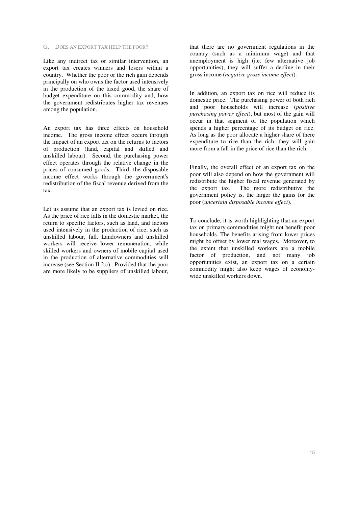#### G. DOES AN EXPORT TAX HELP THE POOR?

Like any indirect tax or similar intervention, an export tax creates winners and losers within a country. Whether the poor or the rich gain depends principally on who owns the factor used intensively in the production of the taxed good, the share of budget expenditure on this commodity and, how the government redistributes higher tax revenues among the population.

An export tax has three effects on household income. The gross income effect occurs through the impact of an export tax on the returns to factors of production (land, capital and skilled and unskilled labour). Second, the purchasing power effect operates through the relative change in the prices of consumed goods. Third, the disposable income effect works through the government's redistribution of the fiscal revenue derived from the tax.

Let us assume that an export tax is levied on rice. As the price of rice falls in the domestic market, the return to specific factors, such as land, and factors used intensively in the production of rice, such as unskilled labour, fall. Landowners and unskilled workers will receive lower remuneration, while skilled workers and owners of mobile capital used in the production of alternative commodities will increase (see Section II.2.c). Provided that the poor are more likely to be suppliers of unskilled labour, that there are no government regulations in the country (such as a minimum wage) and that unemployment is high (i.e. few alternative job opportunities), they will suffer a decline in their gross income (*negative gross income effect*).

In addition, an export tax on rice will reduce its domestic price. The purchasing power of both rich and poor households will increase (*positive purchasing power effect*), but most of the gain will occur in that segment of the population which spends a higher percentage of its budget on rice. As long as the poor allocate a higher share of there expenditure to rice than the rich, they will gain more from a fall in the price of rice than the rich.

Finally, the overall effect of an export tax on the poor will also depend on how the government will redistribute the higher fiscal revenue generated by the export tax. The more redistributive the government policy is, the larger the gains for the poor (*uncertain disposable income effect*).

To conclude, it is worth highlighting that an export tax on primary commodities might not benefit poor households. The benefits arising from lower prices might be offset by lower real wages. Moreover, to the extent that unskilled workers are a mobile factor of production, and not many job opportunities exist, an export tax on a certain commodity might also keep wages of economywide unskilled workers down.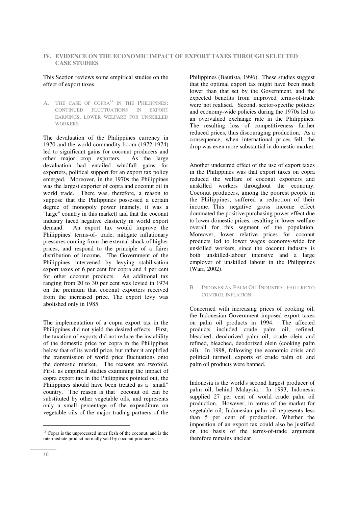# **IV. EVIDENCE ON THE ECONOMIC IMPACT OF EXPORT TAXES THROUGH SELECTED CASE STUDIES**

# This Section reviews some empirical studies on the effect of export taxes.

A. THE CASE OF COPRA<sup>13</sup> IN THE PHILIPPINES: CONTINUED FLUCTUATIONS IN EXPORT EARNINGS, LOWER WELFARE FOR UNSKILLED WORKERS

The devaluation of the Philippines currency in 1970 and the world commodity boom (1972-1974) led to significant gains for coconut producers and other major crop exporters. As the large devaluation had entailed windfall gains for exporters, political support for an export tax policy emerged. Moreover, in the 1970s the Philippines was the largest exporter of copra and coconut oil in world trade. There was, therefore, a reason to suppose that the Philippines possessed a certain degree of monopoly power (namely, it was a "large" country in this market) and that the coconut industry faced negative elasticity in world export demand. An export tax would improve the Philippines' terms-of- trade, mitigate inflationary pressures coming from the external shock of higher prices, and respond to the principle of a fairer distribution of income. The Government of the Philippines intervened by levying stabilisation export taxes of 6 per cent for copra and 4 per cent for other coconut products. An additional tax ranging from 20 to 30 per cent was levied in 1974 on the premium that coconut exporters received from the increased price. The export levy was abolished only in 1985.

The implementation of a copra export tax in the Philippines did not yield the desired effects. First, the taxation of exports did not reduce the instability of the domestic price for copra in the Philippines below that of its world price, but rather it amplified the transmission of world price fluctuations onto the domestic market. The reasons are twofold. First, as empirical studies examining the impact of copra export tax in the Philippines pointed out, the Philippines should have been treated as a "small" country. The reason is that coconut oil can be substituted by other vegetable oils, and represents only a small percentage of the expenditure on vegetable oils of the major trading partners of the

Philippines (Bautista, 1996). These studies suggest that the optimal export tax might have been much lower than that set by the Government, and the expected benefits from improved terms-of-trade were not realised. Second, sector-specific policies and economy-wide policies during the 1970s led to an overvalued exchange rate in the Philippines. The resulting loss of competitiveness further reduced prices, thus discouraging production. As a consequence, when international prices fell, the drop was even more substantial in domestic market.

Another undesired effect of the use of export taxes in the Philippines was that export taxes on copra reduced the welfare of coconut exporters and unskilled workers throughout the economy. Coconut producers, among the poorest people in the Philippines, suffered a reduction of their income. This negative gross income effect dominated the positive purchasing power effect due to lower domestic prices, resulting in lower welfare overall for this segment of the population. Moreover, lower relative prices for coconut products led to lower wages economy-wide for unskilled workers, since the coconut industry is both unskilled-labour intensive and a large employer of unskilled labour in the Philippines (Warr, 2002).

## B. INDONESIAN PALM OIL INDUSTRY: FAILURE TO CONTROL INFLATION

Concerned with increasing prices of cooking oil, the Indonesian Government imposed export taxes on palm oil products in 1994. The affected products included crude palm oil; refined, bleached, deodorized palm oil; crude olein and refined, bleached, deodorized olein (cooking palm oil). In 1998, following the economic crisis and political turmoil, exports of crude palm oil and palm oil products were banned.

Indonesia is the world's second largest producer of palm oil, behind Malaysia. In 1993, Indonesia supplied 27 per cent of world crude palm oil production. However, in terms of the market for vegetable oil, Indonesian palm oil represents less than 5 per cent of production. Whether the imposition of an export tax could also be justified on the basis of the terms-of-trade argument therefore remains unclear.

-

 $13$  Copra is the unprocessed inner flesh of the coconut, and is the intermediate product normally sold by coconut producers.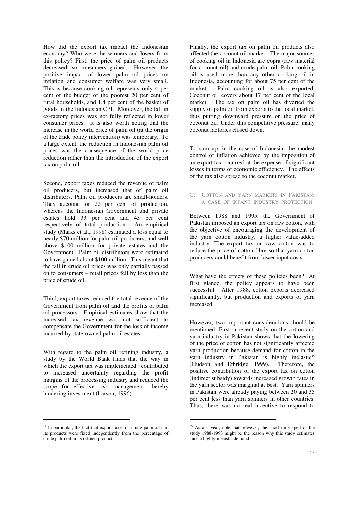How did the export tax impact the Indonesian economy? Who were the winners and losers from this policy? First, the price of palm oil products decreased, so consumers gained. However, the positive impact of lower palm oil prices on inflation and consumer welfare was very small. This is because cooking oil represents only 4 per cent of the budget of the poorest 20 per cent of rural households, and 1.4 per cent of the basket of goods in the Indonesian CPI. Moreover, the fall in ex-factory prices was not fully reflected in lower consumer prices. It is also worth noting that the increase in the world price of palm oil (at the origin of the trade policy intervention) was temporary. To a large extent, the reduction in Indonesian palm oil prices was the consequence of the world price reduction rather than the introduction of the export tax on palm oil.

Second, export taxes reduced the revenue of palm oil producers, but increased that of palm oil distributors. Palm oil producers are small-holders. They account for 22 per cent of production, whereas the Indonesian Government and private estates hold 33 per cent and 43 per cent respectively of total production. An empirical study (Marks et al., 1998) estimated a loss equal to nearly \$70 million for palm oil producers, and well above \$100 million for private estates and the Government. Palm oil distributors were estimated to have gained about \$100 million. This meant that the fall in crude oil prices was only partially passed on to consumers – retail prices fell by less than the price of crude oil.

Third, export taxes reduced the total revenue of the Government from palm oil and the profits of palm oil processors. Empirical estimates show that the increased tax revenue was not sufficient to compensate the Government for the loss of income incurred by state-owned palm oil estates.

With regard to the palm oil refining industry, a study by the World Bank finds that the way in which the export tax was implemented<sup>14</sup> contributed to increased uncertainty regarding the profit margins of the processing industry and reduced the scope for effective risk management, thereby hindering investment (Larson, 1996).

<sup>14</sup> In particular, the fact that export taxes on crude palm oil and its products were fixed independently from the percentage of crude palm oil in its refined products.

j

Finally, the export tax on palm oil products also affected the coconut oil market. The major sources of cooking oil in Indonesia are copra (raw material for coconut oil) and crude palm oil. Palm cooking oil is used more than any other cooking oil in Indonesia, accounting for about 75 per cent of the market. Palm cooking oil is also exported. Coconut oil covers about 17 per cent of the local market. The tax on palm oil has diverted the supply of palm oil from exports to the local market, thus putting downward pressure on the price of coconut oil. Under this competitive pressure, many coconut factories closed down.

To sum up, in the case of Indonesia, the modest control of inflation achieved by the imposition of an export tax occurred at the expense of significant losses in terms of economic efficiency. The effects of the tax also spread to the coconut market.

# C. COTTON AND YARN MARKETS IN PAKISTAN: A CASE OF INFANT INDUSTRY PROTECTION

Between 1988 and 1995, the Government of Pakistan imposed an export tax on raw cotton, with the objective of encouraging the development of the yarn cotton industry, a higher value-added industry. The export tax on raw cotton was to reduce the price of cotton fibre so that yarn cotton producers could benefit from lower input costs.

What have the effects of these policies been? At first glance, the policy appears to have been successful. After 1988, cotton exports decreased significantly, but production and exports of yarn increased.

However, two important considerations should be mentioned. First, a recent study on the cotton and yarn industry in Pakistan shows that the lowering of the price of cotton has not significantly affected yarn production because demand for cotton in the yarn industry in Pakistan is highly inelastic<sup>15</sup> (Hudson and Ethridge, 1999). Therefore, the positive contribution of the export tax on cotton (indirect subsidy) towards increased growth rates in the yarn sector was marginal at best. Yarn spinners in Pakistan were already paying between 20 and 35 per cent less than yarn spinners in other countries. Thus, there was no real incentive to respond to

 $\overline{a}$ 

<sup>&</sup>lt;sup>15</sup> As a caveat, note that however, the short time spell of the study 1988-1993 might be the reason why this study estimates such a highly inelastic demand.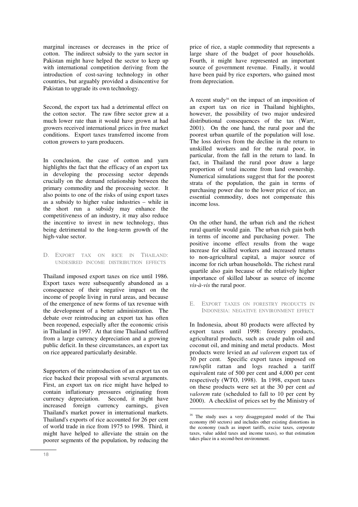marginal increases or decreases in the price of cotton. The indirect subsidy to the yarn sector in Pakistan might have helped the sector to keep up with international competition deriving from the introduction of cost-saving technology in other countries, but arguably provided a disincentive for Pakistan to upgrade its own technology.

Second, the export tax had a detrimental effect on the cotton sector. The raw fibre sector grew at a much lower rate than it would have grown at had growers received international prices in free market conditions. Export taxes transferred income from cotton growers to yarn producers.

In conclusion, the case of cotton and yarn highlights the fact that the efficacy of an export tax in developing the processing sector depends crucially on the demand relationship between the primary commodity and the processing sector. It also points to one of the risks of using export taxes as a subsidy to higher value industries – while in the short run a subsidy may enhance the competitiveness of an industry, it may also reduce the incentive to invest in new technology, thus being detrimental to the long-term growth of the high-value sector.

## D. EXPORT TAX ON RICE IN THAILAND: UNDESIRED INCOME DISTRIBUTION EFFECTS

Thailand imposed export taxes on rice until 1986. Export taxes were subsequently abandoned as a consequence of their negative impact on the income of people living in rural areas, and because of the emergence of new forms of tax revenue with the development of a better administration. The debate over reintroducing an export tax has often been reopened, especially after the economic crisis in Thailand in 1997. At that time Thailand suffered from a large currency depreciation and a growing public deficit. In these circumstances, an export tax on rice appeared particularly desirable.

Supporters of the reintroduction of an export tax on rice backed their proposal with several arguments. First, an export tax on rice might have helped to contain inflationary pressures originating from currency depreciation. Second, it might have increased foreign currency earnings, given Thailand's market power in international markets. Thailand's exports of rice accounted for 26 per cent of world trade in rice from 1975 to 1998. Third, it might have helped to alleviate the strain on the poorer segments of the population, by reducing the

price of rice, a staple commodity that represents a large share of the budget of poor households. Fourth, it might have represented an important source of government revenue. Finally, it would have been paid by rice exporters, who gained most from depreciation.

A recent study<sup>16</sup> on the impact of an imposition of an export tax on rice in Thailand highlights, however, the possibility of two major undesired distributional consequences of the tax (Warr, 2001). On the one hand, the rural poor and the poorest urban quartile of the population will lose. The loss derives from the decline in the return to unskilled workers and for the rural poor, in particular, from the fall in the return to land. In fact, in Thailand the rural poor draw a large proportion of total income from land ownership. Numerical simulations suggest that for the poorest strata of the population, the gain in terms of purchasing power due to the lower price of rice, an essential commodity, does not compensate this income loss.

On the other hand, the urban rich and the richest rural quartile would gain. The urban rich gain both in terms of income and purchasing power. The positive income effect results from the wage increase for skilled workers and increased returns to non-agricultural capital, a major source of income for rich urban households. The richest rural quartile also gain because of the relatively higher importance of skilled labour as source of income *vis-à-vis* the rural poor.

E. EXPORT TAXES ON FORESTRY PRODUCTS IN INDONESIA: NEGATIVE ENVIRONMENT EFFECT

In Indonesia, about 80 products were affected by export taxes until 1998: forestry products, agricultural products, such as crude palm oil and coconut oil, and mining and metal products. Most products were levied an *ad valorem* export tax of 30 per cent. Specific export taxes imposed on raw/split rattan and logs reached a tariff equivalent rate of 500 per cent and 4,000 per cent respectively (WTO, 1998). In 1998, export taxes on these products were set at the 30 per cent *ad valorem* rate (scheduled to fall to 10 per cent by 2000). A checklist of prices set by the Ministry of

 $\overline{a}$ 

<sup>&</sup>lt;sup>16</sup> The study uses a very disaggregated model of the Thai economy (60 sectors) and includes other existing distortions in the economy (such as import tariffs, excise taxes, corporate taxes, value added taxes and income taxes), so that estimation takes place in a second-best environment.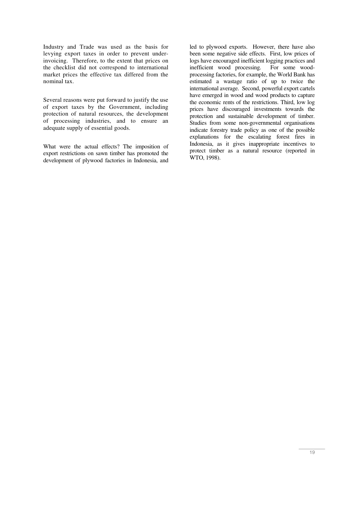Industry and Trade was used as the basis for levying export taxes in order to prevent underinvoicing. Therefore, to the extent that prices on the checklist did not correspond to international market prices the effective tax differed from the nominal tax.

Several reasons were put forward to justify the use of export taxes by the Government, including protection of natural resources, the development of processing industries, and to ensure an adequate supply of essential goods.

What were the actual effects? The imposition of export restrictions on sawn timber has promoted the development of plywood factories in Indonesia, and

led to plywood exports. However, there have also been some negative side effects. First, low prices of logs have encouraged inefficient logging practices and inefficient wood processing. For some woodprocessing factories, for example, the World Bank has estimated a wastage ratio of up to twice the international average. Second, powerful export cartels have emerged in wood and wood products to capture the economic rents of the restrictions. Third, low log prices have discouraged investments towards the protection and sustainable development of timber. Studies from some non-governmental organisations indicate forestry trade policy as one of the possible explanations for the escalating forest fires in Indonesia, as it gives inappropriate incentives to protect timber as a natural resource (reported in WTO, 1998).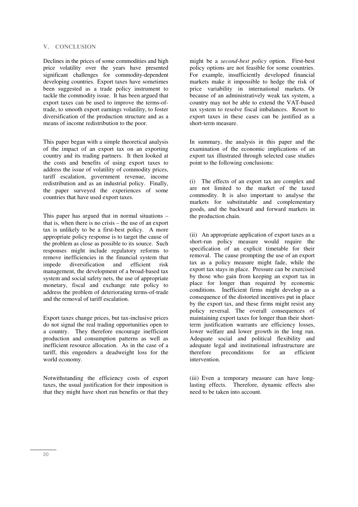#### **V. CONCLUSION**

Declines in the prices of some commodities and high price volatility over the years have presented significant challenges for commodity-dependent developing countries. Export taxes have sometimes been suggested as a trade policy instrument to tackle the commodity issue. It has been argued that export taxes can be used to improve the terms-oftrade, to smooth export earnings volatility, to foster diversification of the production structure and as a means of income redistribution to the poor.

This paper began with a simple theoretical analysis of the impact of an export tax on an exporting country and its trading partners. It then looked at the costs and benefits of using export taxes to address the issue of volatility of commodity prices, tariff escalation, government revenue, income redistribution and as an industrial policy. Finally, the paper surveyed the experiences of some countries that have used export taxes.

This paper has argued that in normal situations – that is, when there is no crisis – the use of an export tax is unlikely to be a first-best policy. A more appropriate policy response is to target the cause of the problem as close as possible to its source. Such responses might include regulatory reforms to remove inefficiencies in the financial system that impede diversification and efficient risk management, the development of a broad-based tax system and social safety nets, the use of appropriate monetary, fiscal and exchange rate policy to address the problem of deteriorating terms-of-trade and the removal of tariff escalation.

Export taxes change prices, but tax-inclusive prices do not signal the real trading opportunities open to a country. They therefore encourage inefficient production and consumption patterns as well as inefficient resource allocation. As in the case of a tariff, this engenders a deadweight loss for the world economy.

Notwithstanding the efficiency costs of export taxes, the usual justification for their imposition is that they might have short run benefits or that they might be a *second-best policy* option. First-best policy options are not feasible for some countries. For example, insufficiently developed financial markets make it impossible to hedge the risk of price variability in international markets. Or because of an administratively weak tax system, a country may not be able to extend the VAT-based tax system to resolve fiscal imbalances. Resort to export taxes in these cases can be justified as a short-term measure.

In summary, the analysis in this paper and the examination of the economic implications of an export tax illustrated through selected case studies point to the following conclusions:

(i) The effects of an export tax are complex and are not limited to the market of the taxed commodity. It is also important to analyse the markets for substitutable and complementary goods, and the backward and forward markets in the production chain.

(ii) An appropriate application of export taxes as a short-run policy measure would require the specification of an explicit timetable for their removal. The cause prompting the use of an export tax as a policy measure might fade, while the export tax stays in place. Pressure can be exercised by those who gain from keeping an export tax in place for longer than required by economic conditions. Inefficient firms might develop as a consequence of the distorted incentives put in place by the export tax, and these firms might resist any policy reversal. The overall consequences of maintaining export taxes for longer than their shortterm justification warrants are efficiency losses, lower welfare and lower growth in the long run. Adequate social and political flexibility and adequate legal and institutional infrastructure are<br>therefore preconditions for an efficient preconditions for an efficient intervention.

(iii) Even a temporary measure can have longlasting effects. Therefore, dynamic effects also need to be taken into account.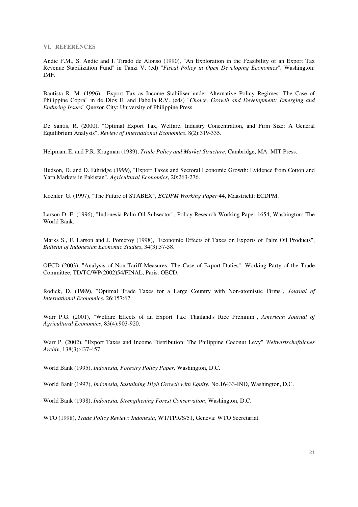**VI. REFERENCES** 

Andic F.M., S. Andic and I. Tirado de Alonso (1990), "An Exploration in the Feasibility of an Export Tax Revenue Stabilization Fund" in Tanzi V, (ed) "*Fiscal Policy in Open Developing Economics*", Washington: IMF.

Bautista R. M. (1996), "Export Tax as Income Stabiliser under Alternative Policy Regimes: The Case of Philippine Copra" in de Dios E. and Fabella R.V. (eds) "*Choice, Growth and Development: Emerging and Enduring Issues*" Quezon City: University of Philippine Press.

De Santis, R. (2000), "Optimal Export Tax, Welfare, Industry Concentration, and Firm Size: A General Equilibrium Analysis", *Review of International Economics*, 8(2):319-335.

Helpman, E. and P.R. Krugman (1989), *Trade Policy and Market Structure*, Cambridge, MA: MIT Press.

Hudson, D. and D. Ethridge (1999), "Export Taxes and Sectoral Economic Growth: Evidence from Cotton and Yarn Markets in Pakistan", *Agricultural Economics*, 20:263-276.

Koehler G. (1997), "The Future of STABEX", *ECDPM Working Paper* 44, Maastricht: ECDPM.

Larson D. F. (1996), "Indonesia Palm Oil Subsector", Policy Research Working Paper 1654, Washington: The World Bank.

Marks S., F. Larson and J. Pomeroy (1998), "Economic Effects of Taxes on Exports of Palm Oil Products", *Bulletin of Indonesian Economic Studies*, 34(3):37-58.

OECD (2003), "Analysis of Non-Tariff Measures: The Case of Export Duties", Working Party of the Trade Committee, TD/TC/WP(2002)54/FINAL, Paris: OECD.

Rodick, D. (1989), "Optimal Trade Taxes for a Large Country with Non-atomistic Firms", *Journal of International Economics*, 26:157:67.

Warr P.G. (2001), "Welfare Effects of an Export Tax: Thailand's Rice Premium", *American Journal of Agricultural Economics*, 83(4):903-920.

Warr P. (2002), "Export Taxes and Income Distribution: The Philippine Coconut Levy" *Weltwirtschaftliches Archiv*, 138(3):437-457.

World Bank (1995), *Indonesia, Forestry Policy Paper,* Washington, D.C.

World Bank (1997), *Indonesia, Sustaining High Growth with Equity*, No.16433-IND, Washington, D.C.

World Bank (1998), *Indonesia, Strengthening Forest Conservation*, Washington, D.C.

WTO (1998), *Trade Policy Review: Indonesia*, WT/TPR/S/51, Geneva: WTO Secretariat.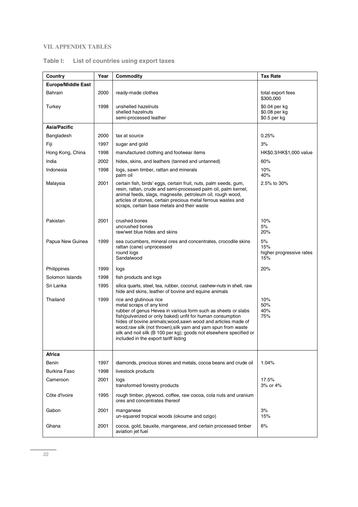# **VII. APPENDIX TABLES**

| Country                   | Year | Commodity                                                                                                                                                                                                                                                                                                                                                                                                                              | <b>Tax Rate</b>                                |
|---------------------------|------|----------------------------------------------------------------------------------------------------------------------------------------------------------------------------------------------------------------------------------------------------------------------------------------------------------------------------------------------------------------------------------------------------------------------------------------|------------------------------------------------|
| <b>Europe/Middle East</b> |      |                                                                                                                                                                                                                                                                                                                                                                                                                                        |                                                |
| <b>Bahrain</b>            | 2000 | ready-made clothes                                                                                                                                                                                                                                                                                                                                                                                                                     | total export fees<br>\$300,000                 |
| Turkey                    | 1998 | unshelled hazelnuts<br>shelled hazelnuts<br>semi-processed leather                                                                                                                                                                                                                                                                                                                                                                     | \$0.04 per kg<br>\$0.08 per kg<br>\$0.5 per kg |
| Asia/Pacific              |      |                                                                                                                                                                                                                                                                                                                                                                                                                                        |                                                |
| Bangladesh                | 2000 | tax at source                                                                                                                                                                                                                                                                                                                                                                                                                          | 0.25%                                          |
| Fiji                      | 1997 | sugar and gold                                                                                                                                                                                                                                                                                                                                                                                                                         | 3%                                             |
| Hong Kong, China          | 1998 | manufactured clothing and footwear items                                                                                                                                                                                                                                                                                                                                                                                               | HK\$0.3/HK\$1,000 value                        |
| India                     | 2002 | hides, skins, and leathers (tanned and untanned)                                                                                                                                                                                                                                                                                                                                                                                       | 60%                                            |
| Indonesia                 | 1998 | logs, sawn timber, rattan and minerals<br>palm oil                                                                                                                                                                                                                                                                                                                                                                                     | 10%<br>40%                                     |
| Malaysia                  | 2001 | certain fish, birds' eggs, certain fruit, nuts, palm seeds, gum,<br>resin, rattan, crude and semi-processed palm oil, palm kernel,<br>animal feeds, slags, magnesite, petroleum oil, rough wood,<br>articles of stones, certain precious metal ferrous wastes and<br>scraps, certain base metals and their waste                                                                                                                       | 2.5% to 30%                                    |
| Pakistan                  | 2001 | crushed bones<br>uncrushed bones<br>raw/wet blue hides and skins                                                                                                                                                                                                                                                                                                                                                                       | 10%<br>5%<br>20%                               |
| Papua New Guinea          | 1999 | sea cucumbers, mineral ores and concentrates, crocodile skins<br>rattan (cane) unprocessed<br>round logs<br>Sandalwood                                                                                                                                                                                                                                                                                                                 | 5%<br>15%<br>higher progressive rates<br>15%   |
| Philippines               | 1999 | logs                                                                                                                                                                                                                                                                                                                                                                                                                                   | 20%                                            |
| Solomon Islands           | 1998 | fish products and logs                                                                                                                                                                                                                                                                                                                                                                                                                 |                                                |
| Sri Lanka                 | 1995 | silica quarts, steel, tea, rubber, coconut, cashew-nuts in shell, raw<br>hide and skins, leather of bovine and equine animals                                                                                                                                                                                                                                                                                                          |                                                |
| Thailand                  | 1999 | rice and glutinous rice<br>metal scraps of any kind<br>rubber of genus Hevea in various form such as sheets or slabs<br>fish(pulverized or only baked) unfit for human consumption<br>hides of bovine animals; wood, sawn wood and articles made of<br>wood; raw silk (not thrown), silk yarn and yarn spun from waste<br>silk and noil silk (B 100 per kg); goods not elsewhere specified or<br>included in the export tariff listing | 10%<br>50%<br>40%<br>75%                       |
| Africa                    |      |                                                                                                                                                                                                                                                                                                                                                                                                                                        |                                                |
| Benin                     | 1997 | diamonds, precious stones and metals, cocoa beans and crude oil                                                                                                                                                                                                                                                                                                                                                                        | 1.04%                                          |
| <b>Burkina Faso</b>       | 1998 | livestock products                                                                                                                                                                                                                                                                                                                                                                                                                     |                                                |
| Cameroon                  | 2001 | logs<br>transformed forestry products                                                                                                                                                                                                                                                                                                                                                                                                  | 17.5%<br>3% or 4%                              |
| Côte d'Ivoire             | 1995 | rough timber, plywood, coffee, raw cocoa, cola nuts and uranium<br>ores and concentrates thereof                                                                                                                                                                                                                                                                                                                                       |                                                |
| Gabon                     | 2001 | manganese<br>un-squared tropical woods (okoume and ozigo)                                                                                                                                                                                                                                                                                                                                                                              | 3%<br>15%                                      |
| Ghana                     | 2001 | cocoa, gold, bauxite, manganese, and certain processed timber<br>aviation jet fuel                                                                                                                                                                                                                                                                                                                                                     | 6%                                             |

# **Table I: List of countries using export taxes**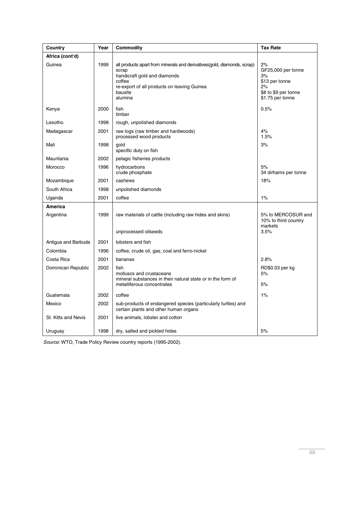| Country              | Year | Commodity                                                                                                                                                                                        | <b>Tax Rate</b>                                                                                    |
|----------------------|------|--------------------------------------------------------------------------------------------------------------------------------------------------------------------------------------------------|----------------------------------------------------------------------------------------------------|
| Africa (cont'd)      |      |                                                                                                                                                                                                  |                                                                                                    |
| Guinea               | 1999 | all products apart from minerals and derivatives (gold, diamonds, scrap)<br>scrap<br>handicraft gold and diamonds<br>coffee<br>re-export of all products on leaving Guinea<br>bauxite<br>alumina | 2%<br>GF25,000 per tonne<br>3%<br>\$13 per tonne<br>2%<br>\$8 to \$9 per tonne<br>\$1.75 per tonne |
| Kenya                | 2000 | fish<br>timber                                                                                                                                                                                   | 0.5%                                                                                               |
| Lesotho              | 1998 | rough, unpolished diamonds                                                                                                                                                                       |                                                                                                    |
| Madagascar           | 2001 | raw logs (raw timber and hardwoods)<br>processed wood products                                                                                                                                   | 4%<br>1.5%                                                                                         |
| Mali                 | 1998 | qold<br>specific duty on fish                                                                                                                                                                    | 3%                                                                                                 |
| Mauritania           | 2002 | pelagic fisheries products                                                                                                                                                                       |                                                                                                    |
| Morocco              | 1996 | hydrocarbons<br>crude phosphate                                                                                                                                                                  | 5%<br>34 dirhams per tonne                                                                         |
| Mozambique           | 2001 | cashews                                                                                                                                                                                          | 18%                                                                                                |
| South Africa         | 1998 | unpolished diamonds                                                                                                                                                                              |                                                                                                    |
| Uganda               | 2001 | coffee                                                                                                                                                                                           | $1\%$                                                                                              |
| America<br>Argentina | 1999 | raw materials of cattle (including raw hides and skins)                                                                                                                                          | 5% to MERCOSUR and<br>10% to third country<br>markets                                              |
|                      |      | unprocessed oilseeds                                                                                                                                                                             | 3.5%                                                                                               |
| Antigua and Barbuda  | 2001 | lobsters and fish                                                                                                                                                                                |                                                                                                    |
| Colombia             | 1996 | coffee, crude oil, gas, coal and ferro-nickel                                                                                                                                                    |                                                                                                    |
| Costa Rica           | 2001 | bananas                                                                                                                                                                                          | 2.8%                                                                                               |
| Dominican Republic   | 2002 | fish<br>molluscs and crustaceans<br>mineral substances in their natural state or in the form of<br>metalliferous concentrates                                                                    | RD\$0.03 per kg<br>5%<br>5%                                                                        |
| Guatemala            | 2002 | coffee                                                                                                                                                                                           | $1\%$                                                                                              |
| Mexico               | 2002 | sub-products of endangered species (particularly turtles) and<br>certain plants and other human organs                                                                                           |                                                                                                    |
| St. Kitts and Nevis  | 2001 | live animals, lobster and cotton                                                                                                                                                                 |                                                                                                    |
| Uruguay              | 1998 | dry, salted and pickled hides                                                                                                                                                                    | 5%                                                                                                 |

Source: WTO, Trade Policy Review country reports (1995-2002).